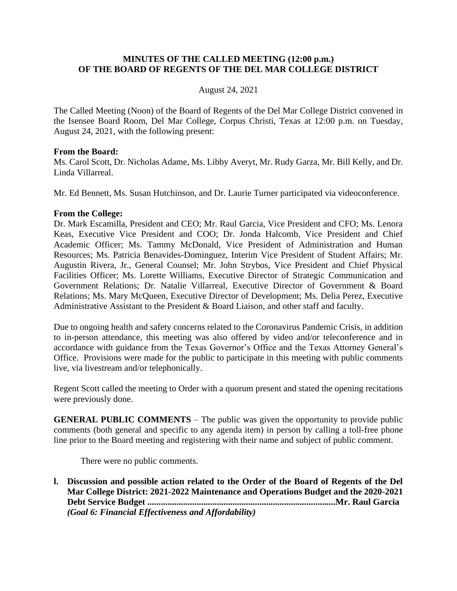### **MINUTES OF THE CALLED MEETING (12:00 p.m.) OF THE BOARD OF REGENTS OF THE DEL MAR COLLEGE DISTRICT**

### August 24, 2021

The Called Meeting (Noon) of the Board of Regents of the Del Mar College District convened in the Isensee Board Room, Del Mar College, Corpus Christi, Texas at 12:00 p.m. on Tuesday, August 24, 2021, with the following present:

#### **From the Board:**

Ms. Carol Scott, Dr. Nicholas Adame, Ms. Libby Averyt, Mr. Rudy Garza, Mr. Bill Kelly, and Dr. Linda Villarreal.

Mr. Ed Bennett, Ms. Susan Hutchinson, and Dr. Laurie Turner participated via videoconference.

#### **From the College:**

Dr. Mark Escamilla, President and CEO; Mr. Raul Garcia, Vice President and CFO; Ms. Lenora Keas, Executive Vice President and COO; Dr. Jonda Halcomb, Vice President and Chief Academic Officer; Ms. Tammy McDonald, Vice President of Administration and Human Resources; Ms. Patricia Benavides-Dominguez, Interim Vice President of Student Affairs; Mr. Augustin Rivera, Jr., General Counsel; Mr. John Strybos, Vice President and Chief Physical Facilities Officer; Ms. Lorette Williams, Executive Director of Strategic Communication and Government Relations; Dr. Natalie Villarreal, Executive Director of Government & Board Relations; Ms. Mary McQueen, Executive Director of Development; Ms. Delia Perez, Executive Administrative Assistant to the President & Board Liaison, and other staff and faculty.

Due to ongoing health and safety concerns related to the Coronavirus Pandemic Crisis, in addition to in-person attendance, this meeting was also offered by video and/or teleconference and in accordance with guidance from the Texas Governor's Office and the Texas Attorney General's Office. Provisions were made for the public to participate in this meeting with public comments live, via livestream and/or telephonically.

Regent Scott called the meeting to Order with a quorum present and stated the opening recitations were previously done.

**GENERAL PUBLIC COMMENTS** – The public was given the opportunity to provide public comments (both general and specific to any agenda item) in person by calling a toll-free phone line prior to the Board meeting and registering with their name and subject of public comment.

There were no public comments.

**l. Discussion and possible action related to the Order of the Board of Regents of the Del Mar College District: 2021-2022 Maintenance and Operations Budget and the 2020-2021 Debt Service Budget ....................................................................................Mr. Raul Garcia** *(Goal 6: Financial Effectiveness and Affordability)*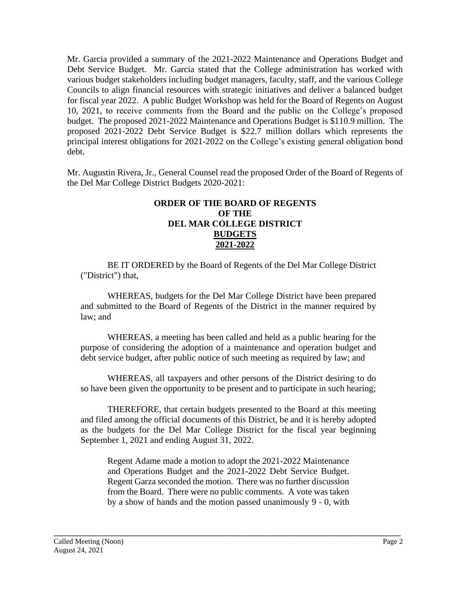Mr. Garcia provided a summary of the 2021-2022 Maintenance and Operations Budget and Debt Service Budget. Mr. Garcia stated that the College administration has worked with various budget stakeholders including budget managers, faculty, staff, and the various College Councils to align financial resources with strategic initiatives and deliver a balanced budget for fiscal year 2022. A public Budget Workshop was held for the Board of Regents on August 10, 2021, to receive comments from the Board and the public on the College's proposed budget. The proposed 2021-2022 Maintenance and Operations Budget is \$110.9 million. The proposed 2021-2022 Debt Service Budget is \$22.7 million dollars which represents the principal interest obligations for 2021-2022 on the College's existing general obligation bond debt.

Mr. Augustin Rivera, Jr., General Counsel read the proposed Order of the Board of Regents of the Del Mar College District Budgets 2020-2021:

### **ORDER OF THE BOARD OF REGENTS OF THE DEL MAR COLLEGE DISTRICT BUDGETS 2021-2022**

BE IT ORDERED by the Board of Regents of the Del Mar College District ("District") that,

WHEREAS, budgets for the Del Mar College District have been prepared and submitted to the Board of Regents of the District in the manner required by law; and

WHEREAS, a meeting has been called and held as a public hearing for the purpose of considering the adoption of a maintenance and operation budget and debt service budget, after public notice of such meeting as required by law; and

WHEREAS, all taxpayers and other persons of the District desiring to do so have been given the opportunity to be present and to participate in such hearing;

THEREFORE, that certain budgets presented to the Board at this meeting and filed among the official documents of this District, be and it is hereby adopted as the budgets for the Del Mar College District for the fiscal year beginning September 1, 2021 and ending August 31, 2022.

Regent Adame made a motion to adopt the 2021-2022 Maintenance and Operations Budget and the 2021-2022 Debt Service Budget. Regent Garza seconded the motion. There was no further discussion from the Board. There were no public comments. A vote was taken by a show of hands and the motion passed unanimously 9 - 0, with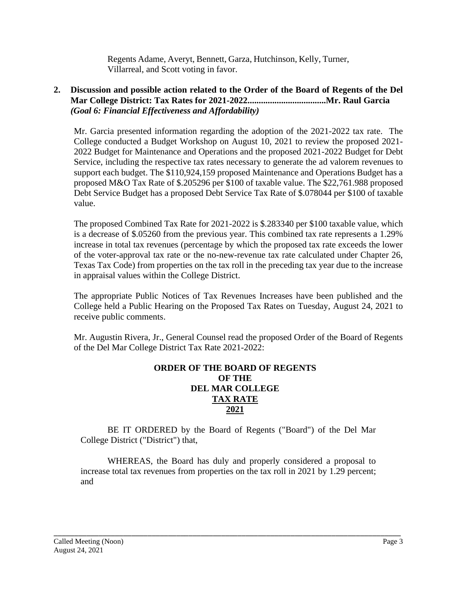Regents Adame, Averyt, Bennett, Garza, Hutchinson, Kelly, Turner, Villarreal, and Scott voting in favor.

## **2. Discussion and possible action related to the Order of the Board of Regents of the Del Mar College District: Tax Rates for 2021-2022...................................Mr. Raul Garcia** *(Goal 6: Financial Effectiveness and Affordability)*

Mr. Garcia presented information regarding the adoption of the 2021-2022 tax rate. The College conducted a Budget Workshop on August 10, 2021 to review the proposed 2021- 2022 Budget for Maintenance and Operations and the proposed 2021-2022 Budget for Debt Service, including the respective tax rates necessary to generate the ad valorem revenues to support each budget. The \$110,924,159 proposed Maintenance and Operations Budget has a proposed M&O Tax Rate of \$.205296 per \$100 of taxable value. The \$22,761.988 proposed Debt Service Budget has a proposed Debt Service Tax Rate of \$.078044 per \$100 of taxable value.

The proposed Combined Tax Rate for 2021-2022 is \$.283340 per \$100 taxable value, which is a decrease of \$.05260 from the previous year. This combined tax rate represents a 1.29% increase in total tax revenues (percentage by which the proposed tax rate exceeds the lower of the voter-approval tax rate or the no-new-revenue tax rate calculated under Chapter 26, Texas Tax Code) from properties on the tax roll in the preceding tax year due to the increase in appraisal values within the College District.

The appropriate Public Notices of Tax Revenues Increases have been published and the College held a Public Hearing on the Proposed Tax Rates on Tuesday, August 24, 2021 to receive public comments.

Mr. Augustin Rivera, Jr., General Counsel read the proposed Order of the Board of Regents of the Del Mar College District Tax Rate 2021-2022:

## **ORDER OF THE BOARD OF REGENTS OF THE DEL MAR COLLEGE TAX RATE 2021**

BE IT ORDERED by the Board of Regents ("Board") of the Del Mar College District ("District") that,

WHEREAS, the Board has duly and properly considered a proposal to increase total tax revenues from properties on the tax roll in 2021 by 1.29 percent; and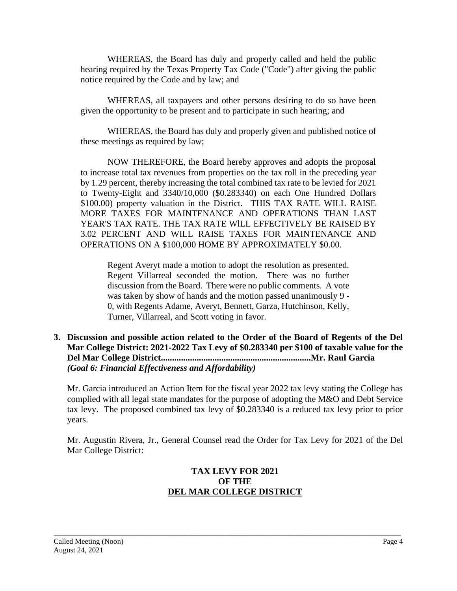WHEREAS, the Board has duly and properly called and held the public hearing required by the Texas Property Tax Code ("Code") after giving the public notice required by the Code and by law; and

WHEREAS, all taxpayers and other persons desiring to do so have been given the opportunity to be present and to participate in such hearing; and

WHEREAS, the Board has duly and properly given and published notice of these meetings as required by law;

NOW THEREFORE, the Board hereby approves and adopts the proposal to increase total tax revenues from properties on the tax roll in the preceding year by 1.29 percent, thereby increasing the total combined tax rate to be levied for 2021 to Twenty-Eight and 3340/10,000 (\$0.283340) on each One Hundred Dollars \$100.00) property valuation in the District. THIS TAX RATE WILL RAISE MORE TAXES FOR MAINTENANCE AND OPERATIONS THAN LAST YEAR'S TAX RATE. THE TAX RATE WlLL EFFECTIVELY BE RAISED BY 3.02 PERCENT AND WILL RAISE TAXES FOR MAINTENANCE AND OPERATIONS ON A \$100,000 HOME BY APPROXIMATELY \$0.00.

Regent Averyt made a motion to adopt the resolution as presented. Regent Villarreal seconded the motion. There was no further discussion from the Board. There were no public comments. A vote was taken by show of hands and the motion passed unanimously 9 - 0, with Regents Adame, Averyt, Bennett, Garza, Hutchinson, Kelly, Turner, Villarreal, and Scott voting in favor.

**3. Discussion and possible action related to the Order of the Board of Regents of the Del Mar College District: 2021-2022 Tax Levy of \$0.283340 per \$100 of taxable value for the Del Mar College District...................................................................Mr. Raul Garcia** *(Goal 6: Financial Effectiveness and Affordability)*

Mr. Garcia introduced an Action Item for the fiscal year 2022 tax levy stating the College has complied with all legal state mandates for the purpose of adopting the M&O and Debt Service tax levy. The proposed combined tax levy of \$0.283340 is a reduced tax levy prior to prior years.

Mr. Augustin Rivera, Jr., General Counsel read the Order for Tax Levy for 2021 of the Del Mar College District:

# **TAX LEVY FOR 2021 OF THE DEL MAR COLLEGE DISTRICT**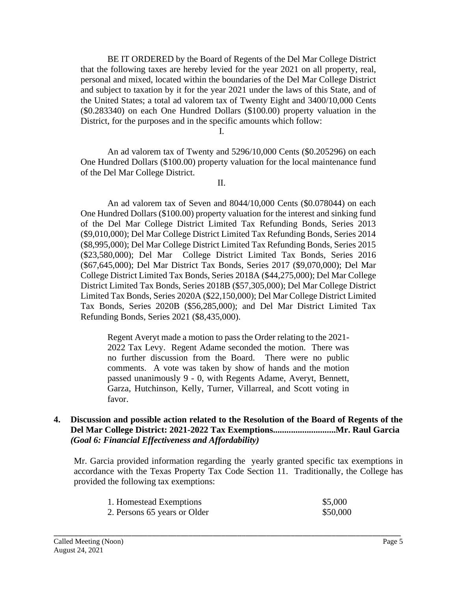BE IT ORDERED by the Board of Regents of the Del Mar College District that the following taxes are hereby levied for the year 2021 on all property, real, personal and mixed, located within the boundaries of the Del Mar College District and subject to taxation by it for the year 2021 under the laws of this State, and of the United States; a total ad valorem tax of Twenty Eight and 3400/10,000 Cents (\$0.283340) on each One Hundred Dollars (\$100.00) property valuation in the District, for the purposes and in the specific amounts which follow:

I.

An ad valorem tax of Twenty and 5296/10,000 Cents (\$0.205296) on each One Hundred Dollars (\$100.00) property valuation for the local maintenance fund of the Del Mar College District.

II.

An ad valorem tax of Seven and 8044/10,000 Cents (\$0.078044) on each One Hundred Dollars (\$100.00) property valuation for the interest and sinking fund of the Del Mar College District Limited Tax Refunding Bonds, Series 2013 (\$9,010,000); Del Mar College District Limited Tax Refunding Bonds, Series 2014 (\$8,995,000); Del Mar College District Limited Tax Refunding Bonds, Series 2015 (\$23,580,000); Del Mar College District Limited Tax Bonds, Series 2016 (\$67,645,000); Del Mar District Tax Bonds, Series 2017 (\$9,070,000); Del Mar College District Limited Tax Bonds, Series 2018A (\$44,275,000); Del Mar College District Limited Tax Bonds, Series 2018B (\$57,305,000); Del Mar College District Limited Tax Bonds, Series 2020A (\$22,150,000); Del Mar College District Limited Tax Bonds, Series 2020B (\$56,285,000); and Del Mar District Limited Tax Refunding Bonds, Series 2021 (\$8,435,000).

Regent Averyt made a motion to pass the Order relating to the 2021- 2022 Tax Levy. Regent Adame seconded the motion. There was no further discussion from the Board. There were no public comments. A vote was taken by show of hands and the motion passed unanimously 9 - 0, with Regents Adame, Averyt, Bennett, Garza, Hutchinson, Kelly, Turner, Villarreal, and Scott voting in favor.

### **4. Discussion and possible action related to the Resolution of the Board of Regents of the Del Mar College District: 2021-2022 Tax Exemptions............................Mr. Raul Garcia** *(Goal 6: Financial Effectiveness and Affordability)*

Mr. Garcia provided information regarding the yearly granted specific tax exemptions in accordance with the Texas Property Tax Code Section 11. Traditionally, the College has provided the following tax exemptions:

| 1. Homestead Exemptions      | \$5,000  |
|------------------------------|----------|
| 2. Persons 65 years or Older | \$50,000 |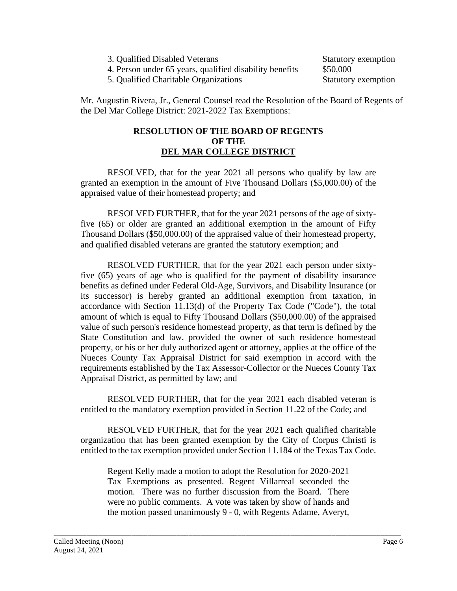- 3. Qualified Disabled Veterans Statutory exemption
- 4. Person under 65 years, qualified disability benefits \$50,000

5. Qualified Charitable Organizations Statutory exemption

Mr. Augustin Rivera, Jr., General Counsel read the Resolution of the Board of Regents of the Del Mar College District: 2021-2022 Tax Exemptions:

### **RESOLUTION OF THE BOARD OF REGENTS OF THE DEL MAR COLLEGE DISTRICT**

RESOLVED, that for the year 2021 all persons who qualify by law are granted an exemption in the amount of Five Thousand Dollars (\$5,000.00) of the appraised value of their homestead property; and

RESOLVED FURTHER, that for the year 2021 persons of the age of sixtyfive (65) or older are granted an additional exemption in the amount of Fifty Thousand Dollars (\$50,000.00) of the appraised value of their homestead property, and qualified disabled veterans are granted the statutory exemption; and

RESOLVED FURTHER, that for the year 2021 each person under sixtyfive (65) years of age who is qualified for the payment of disability insurance benefits as defined under Federal Old-Age, Survivors, and Disability Insurance (or its successor) is hereby granted an additional exemption from taxation, in accordance with Section 11.13(d) of the Property Tax Code ("Code"), the total amount of which is equal to Fifty Thousand Dollars (\$50,000.00) of the appraised value of such person's residence homestead property, as that term is defined by the State Constitution and law, provided the owner of such residence homestead property, or his or her duly authorized agent or attorney, applies at the office of the Nueces County Tax Appraisal District for said exemption in accord with the requirements established by the Tax Assessor-Collector or the Nueces County Tax Appraisal District, as permitted by law; and

RESOLVED FURTHER, that for the year 2021 each disabled veteran is entitled to the mandatory exemption provided in Section 11.22 of the Code; and

RESOLVED FURTHER, that for the year 2021 each qualified charitable organization that has been granted exemption by the City of Corpus Christi is entitled to the tax exemption provided under Section 11.184 of the Texas Tax Code.

Regent Kelly made a motion to adopt the Resolution for 2020-2021 Tax Exemptions as presented. Regent Villarreal seconded the motion. There was no further discussion from the Board. There were no public comments. A vote was taken by show of hands and the motion passed unanimously 9 - 0, with Regents Adame, Averyt,